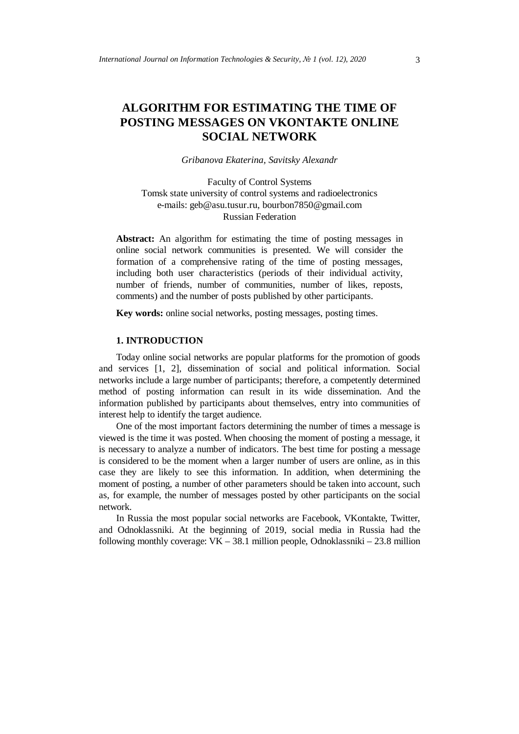# **ALGORITHM FOR ESTIMATING THE TIME OF POSTING MESSAGES ON VKONTAKTE ONLINE SOCIAL NETWORK**

*Gribanova Ekaterina, Savitsky Alexandr* 

Faculty of Control Systems Tomsk state university of control systems and radioelectronics e-mails: geb@asu.tusur.ru, bourbon7850@gmail.com Russian Federation

**Abstract:** An algorithm for estimating the time of posting messages in online social network communities is presented. We will consider the formation of a comprehensive rating of the time of posting messages, including both user characteristics (periods of their individual activity, number of friends, number of communities, number of likes, reposts, comments) and the number of posts published by other participants.

**Key words:** online social networks, posting messages, posting times.

## **1. INTRODUCTION**

Today online social networks are popular platforms for the promotion of goods and services [1, 2], dissemination of social and political information. Social networks include a large number of participants; therefore, a competently determined method of posting information can result in its wide dissemination. And the information published by participants about themselves, entry into communities of interest help to identify the target audience.

One of the most important factors determining the number of times a message is viewed is the time it was posted. When choosing the moment of posting a message, it is necessary to analyze a number of indicators. The best time for posting a message is considered to be the moment when a larger number of users are online, as in this case they are likely to see this information. In addition, when determining the moment of posting, a number of other parameters should be taken into account, such as, for example, the number of messages posted by other participants on the social network.

In Russia the most popular social networks are Facebook, VKontakte, Twitter, and Odnoklassniki. At the beginning of 2019, social media in Russia had the following monthly coverage:  $VK - 38.1$  million people, Odnoklassniki – 23.8 million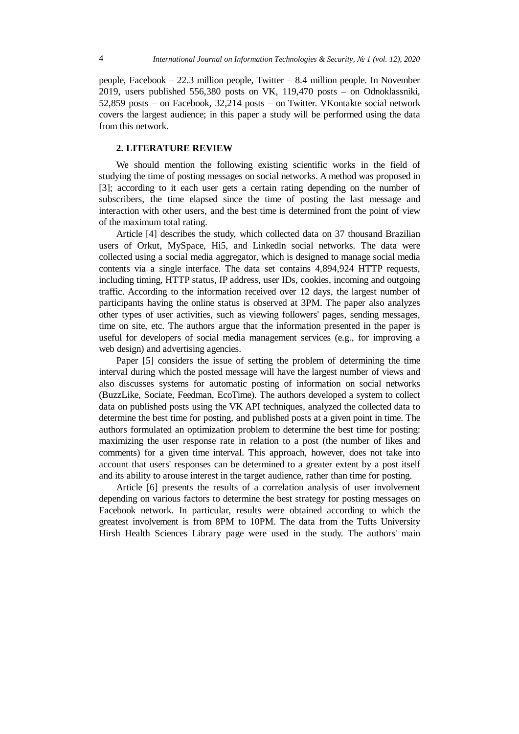people, Facebook – 22.3 million people, Twitter – 8.4 million people. In November 2019, users published 556,380 posts on VK, 119,470 posts – on Odnoklassniki, 52,859 posts – on Facebook, 32,214 posts – on Twitter. VKontakte social network covers the largest audience; in this paper a study will be performed using the data from this network.

## **2. LITERATURE REVIEW**

We should mention the following existing scientific works in the field of studying the time of posting messages on social networks. A method was proposed in [3]; according to it each user gets a certain rating depending on the number of subscribers, the time elapsed since the time of posting the last message and interaction with other users, and the best time is determined from the point of view of the maximum total rating.

Article [4] describes the study, which collected data on 37 thousand Brazilian users of Orkut, MySpace, Hi5, and Linkedln social networks. The data were collected using a social media aggregator, which is designed to manage social media contents via a single interface. The data set contains 4,894,924 HTTP requests, including timing, HTTP status, IP address, user IDs, cookies, incoming and outgoing traffic. According to the information received over 12 days, the largest number of participants having the online status is observed at 3PM. The paper also analyzes other types of user activities, such as viewing followers' pages, sending messages, time on site, etc. The authors argue that the information presented in the paper is useful for developers of social media management services (e.g., for improving a web design) and advertising agencies.

Paper [5] considers the issue of setting the problem of determining the time interval during which the posted message will have the largest number of views and also discusses systems for automatic posting of information on social networks (BuzzLike, Sociate, Feedman, EcoTime). The authors developed a system to collect data on published posts using the VK API techniques, analyzed the collected data to determine the best time for posting, and published posts at a given point in time. The authors formulated an optimization problem to determine the best time for posting: maximizing the user response rate in relation to a post (the number of likes and comments) for a given time interval. This approach, however, does not take into account that users' responses can be determined to a greater extent by a post itself and its ability to arouse interest in the target audience, rather than time for posting.

Article [6] presents the results of a correlation analysis of user involvement depending on various factors to determine the best strategy for posting messages on Facebook network. In particular, results were obtained according to which the greatest involvement is from 8PM to 10PM. The data from the Tufts University Hirsh Health Sciences Library page were used in the study. The authors' main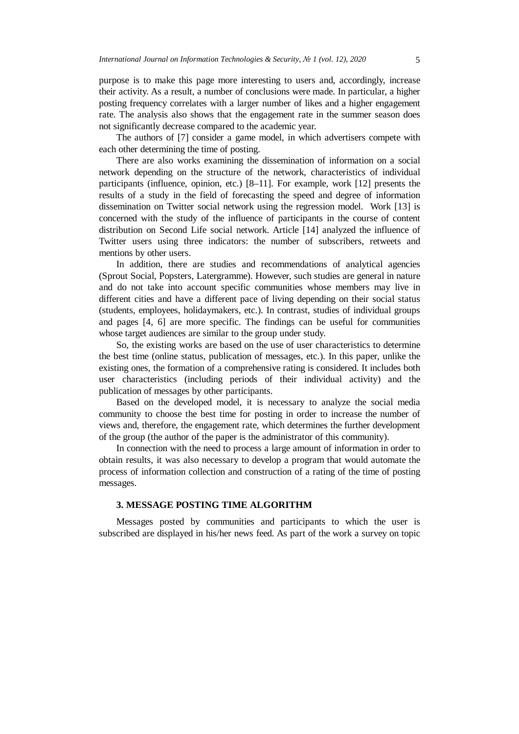purpose is to make this page more interesting to users and, accordingly, increase their activity. As a result, a number of conclusions were made. In particular, a higher posting frequency correlates with a larger number of likes and a higher engagement rate. The analysis also shows that the engagement rate in the summer season does not significantly decrease compared to the academic year.

The authors of [7] consider a game model, in which advertisers compete with each other determining the time of posting.

There are also works examining the dissemination of information on a social network depending on the structure of the network, characteristics of individual participants (influence, opinion, etc.) [8–11]. For example, work [12] presents the results of a study in the field of forecasting the speed and degree of information dissemination on Twitter social network using the regression model. Work [13] is concerned with the study of the influence of participants in the course of content distribution on Second Life social network. Article [14] analyzed the influence of Twitter users using three indicators: the number of subscribers, retweets and mentions by other users.

In addition, there are studies and recommendations of analytical agencies (Sprout Social, Popsters, Latergramme). However, such studies are general in nature and do not take into account specific communities whose members may live in different cities and have a different pace of living depending on their social status (students, employees, holidaymakers, etc.). In contrast, studies of individual groups and pages [4, 6] are more specific. The findings can be useful for communities whose target audiences are similar to the group under study.

So, the existing works are based on the use of user characteristics to determine the best time (online status, publication of messages, etc.). In this paper, unlike the existing ones, the formation of a comprehensive rating is considered. It includes both user characteristics (including periods of their individual activity) and the publication of messages by other participants.

Based on the developed model, it is necessary to analyze the social media community to choose the best time for posting in order to increase the number of views and, therefore, the engagement rate, which determines the further development of the group (the author of the paper is the administrator of this community).

In connection with the need to process a large amount of information in order to obtain results, it was also necessary to develop a program that would automate the process of information collection and construction of a rating of the time of posting messages.

## **3. MESSAGE POSTING TIME ALGORITHM**

Messages posted by communities and participants to which the user is subscribed are displayed in his/her news feed. As part of the work a survey on topic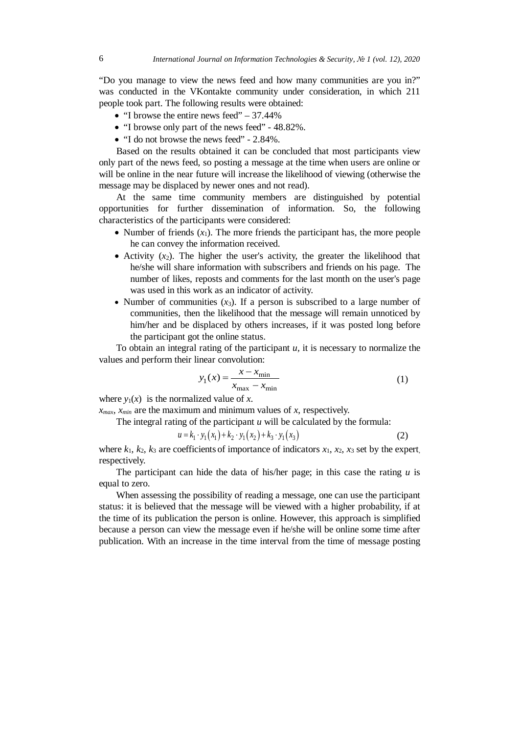"Do you manage to view the news feed and how many communities are you in?" was conducted in the VKontakte community under consideration, in which 211 people took part. The following results were obtained:

- "I browse the entire news feed"  $-37.44\%$
- "I browse only part of the news feed" 48.82%.
- "I do not browse the news feed" 2.84%.

Based on the results obtained it can be concluded that most participants view only part of the news feed, so posting a message at the time when users are online or will be online in the near future will increase the likelihood of viewing (otherwise the message may be displaced by newer ones and not read).

At the same time community members are distinguished by potential opportunities for further dissemination of information. So, the following characteristics of the participants were considered:

- Number of friends  $(x_1)$ . The more friends the participant has, the more people he can convey the information received.
- Activity  $(x_2)$ . The higher the user's activity, the greater the likelihood that he/she will share information with subscribers and friends on his page. The number of likes, reposts and comments for the last month on the user's page was used in this work as an indicator of activity.
- Number of communities  $(x_3)$ . If a person is subscribed to a large number of communities, then the likelihood that the message will remain unnoticed by him/her and be displaced by others increases, if it was posted long before the participant got the online status.

To obtain an integral rating of the participant *u,* it is necessary to normalize the values and perform their linear convolution:

$$
y_1(x) = \frac{x - x_{\min}}{x_{\max} - x_{\min}}
$$
 (1)

where  $y_1(x)$  is the normalized value of *x*.

 $x_{max}$ ,  $x_{min}$  are the maximum and minimum values of *x*, respectively.

The integral rating of the participant *u* will be calculated by the formula:

$$
u = k_1 \cdot y_1(x_1) + k_2 \cdot y_1(x_2) + k_3 \cdot y_1(x_3)
$$
 (2)

where  $k_1$ ,  $k_2$ ,  $k_3$  are coefficients of importance of indicators  $x_1$ ,  $x_2$ ,  $x_3$  set by the expert, respectively.

The participant can hide the data of his/her page; in this case the rating *u* is equal to zero.

When assessing the possibility of reading a message, one can use the participant status: it is believed that the message will be viewed with a higher probability, if at the time of its publication the person is online. However, this approach is simplified because a person can view the message even if he/she will be online some time after publication. With an increase in the time interval from the time of message posting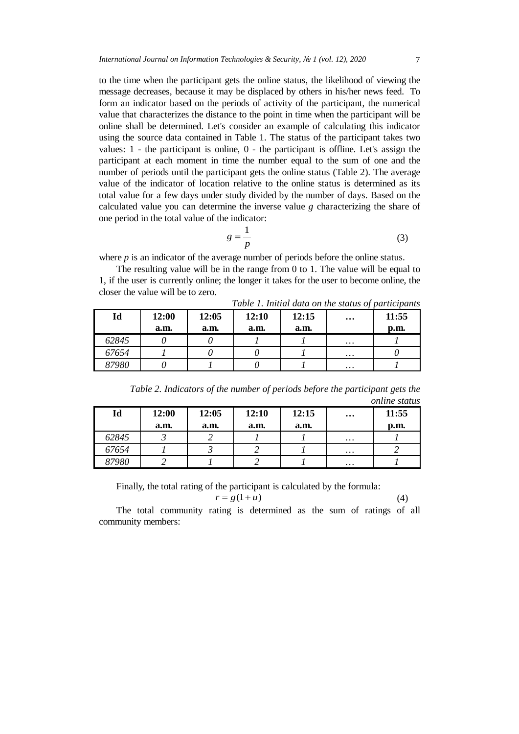to the time when the participant gets the online status, the likelihood of viewing the message decreases, because it may be displaced by others in his/her news feed. To form an indicator based on the periods of activity of the participant, the numerical value that characterizes the distance to the point in time when the participant will be online shall be determined. Let's consider an example of calculating this indicator using the source data contained in Table 1. The status of the participant takes two values: 1 - the participant is online, 0 - the participant is offline. Let's assign the participant at each moment in time the number equal to the sum of one and the number of periods until the participant gets the online status (Table 2). The average value of the indicator of location relative to the online status is determined as its total value for a few days under study divided by the number of days. Based on the calculated value you can determine the inverse value *g* characterizing the share of one period in the total value of the indicator:

$$
g = \frac{1}{p} \tag{3}
$$

*Table 1. Initial data on the status of participants*

where *p* is an indicator of the average number of periods before the online status.

The resulting value will be in the range from 0 to 1. The value will be equal to 1, if the user is currently online; the longer it takes for the user to become online, the closer the value will be to zero.

| Id    | 12:00<br>a.m. | 12:05<br>a.m. | 12:10<br>a.m. | 12:15<br>a.m. | $\cdots$ | 11:55<br>$\mathbf{p}.\mathbf{m}$ |
|-------|---------------|---------------|---------------|---------------|----------|----------------------------------|
| 62845 |               |               |               |               | $\cdots$ |                                  |
| 67654 |               |               |               |               | $\cdots$ |                                  |
| 87980 |               |               |               |               | $\cdots$ |                                  |

*Table 2. Indicators of the number of periods before the participant gets the online status*

| Id    | 12:00 | 12:05 | 12:10 | 12:15 | $\cdots$ | 11:55 |
|-------|-------|-------|-------|-------|----------|-------|
|       | a.m.  | a.m.  | a.m.  | a.m.  |          | p.m.  |
| 62845 |       |       |       |       | $\cdots$ |       |
| 67654 |       |       |       |       | $\cdots$ |       |
| 87980 |       |       |       |       | $\cdots$ |       |

Finally, the total rating of the participant is calculated by the formula:

$$
r = g(1+u) \tag{4}
$$

The total community rating is determined as the sum of ratings of all community members: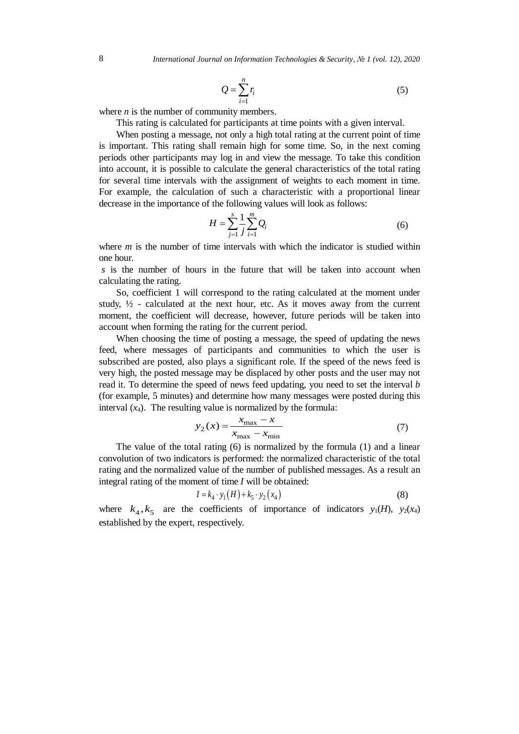$$
Q = \sum_{i=1}^{n} r_i
$$
 (5)

where  $n$  is the number of community members.

This rating is calculated for participants at time points with a given interval.

When posting a message, not only a high total rating at the current point of time is important. This rating shall remain high for some time. So, in the next coming periods other participants may log in and view the message. To take this condition into account, it is possible to calculate the general characteristics of the total rating for several time intervals with the assignment of weights to each moment in time. For example, the calculation of such a characteristic with a proportional linear decrease in the importance of the following values will look as follows:

$$
H = \sum_{j=1}^{s} \frac{1}{j} \sum_{i=1}^{m} Q_i
$$
 (6)

where *m* is the number of time intervals with which the indicator is studied within one hour.

*s* is the number of hours in the future that will be taken into account when calculating the rating.

So, coefficient 1 will correspond to the rating calculated at the moment under study,  $\frac{1}{2}$  - calculated at the next hour, etc. As it moves away from the current moment, the coefficient will decrease, however, future periods will be taken into account when forming the rating for the current period.

When choosing the time of posting a message, the speed of updating the news feed, where messages of participants and communities to which the user is subscribed are posted, also plays a significant role. If the speed of the news feed is very high, the posted message may be displaced by other posts and the user may not read it. To determine the speed of news feed updating, you need to set the interval *b* (for example, 5 minutes) and determine how many messages were posted during this interval  $(x_4)$ . The resulting value is normalized by the formula:

$$
y_2(x) = \frac{x_{\text{max}} - x}{x_{\text{max}} - x_{\text{min}}} \tag{7}
$$

The value of the total rating (6) is normalized by the formula (1) and a linear convolution of two indicators is performed: the normalized characteristic of the total rating and the normalized value of the number of published messages. As a result an integral rating of the moment of time *I* will be obtained:

$$
I = k_4 \cdot y_1(H) + k_5 \cdot y_2(x_4)
$$
 (8)

where  $k_4$ ,  $k_5$  are the coefficients of importance of indicators  $y_1(H)$ ,  $y_2(x_4)$ established by the expert, respectively.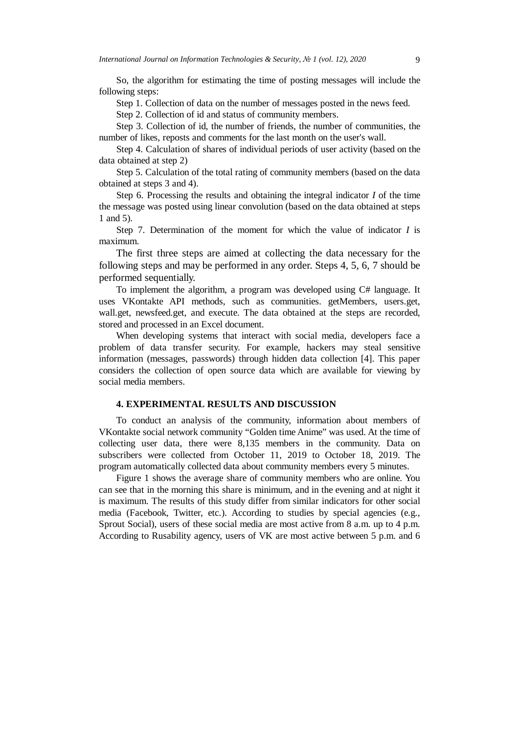So, the algorithm for estimating the time of posting messages will include the following steps:

Step 1. Collection of data on the number of messages posted in the news feed.

Step 2. Collection of id and status of community members.

Step 3. Collection of id, the number of friends, the number of communities, the number of likes, reposts and comments for the last month on the user's wall.

Step 4. Calculation of shares of individual periods of user activity (based on the data obtained at step 2)

Step 5. Calculation of the total rating of community members (based on the data obtained at steps 3 and 4).

Step 6. Processing the results and obtaining the integral indicator *I* of the time the message was posted using linear convolution (based on the data obtained at steps 1 and 5).

Step 7. Determination of the moment for which the value of indicator *I* is maximum.

The first three steps are aimed at collecting the data necessary for the following steps and may be performed in any order. Steps 4, 5, 6, 7 should be performed sequentially.

To implement the algorithm, a program was developed using C# language. It uses VKontakte API methods, such as communities. getMembers, users.get, wall.get, newsfeed.get, and execute. The data obtained at the steps are recorded, stored and processed in an Excel document.

When developing systems that interact with social media, developers face a problem of data transfer security. For example, hackers may steal sensitive information (messages, passwords) through hidden data collection [4]. This paper considers the collection of open source data which are available for viewing by social media members.

### **4. EXPERIMENTAL RESULTS AND DISCUSSION**

To conduct an analysis of the community, information about members of VKontakte social network community "Golden time Anime" was used. At the time of collecting user data, there were 8,135 members in the community. Data on subscribers were collected from October 11, 2019 to October 18, 2019. The program automatically collected data about community members every 5 minutes.

Figure 1 shows the average share of community members who are online. You can see that in the morning this share is minimum, and in the evening and at night it is maximum. The results of this study differ from similar indicators for other social media (Facebook, Twitter, etc.). According to studies by special agencies (e.g., Sprout Social), users of these social media are most active from 8 a.m. up to 4 p.m. According to Rusability agency, users of VK are most active between 5 p.m. and 6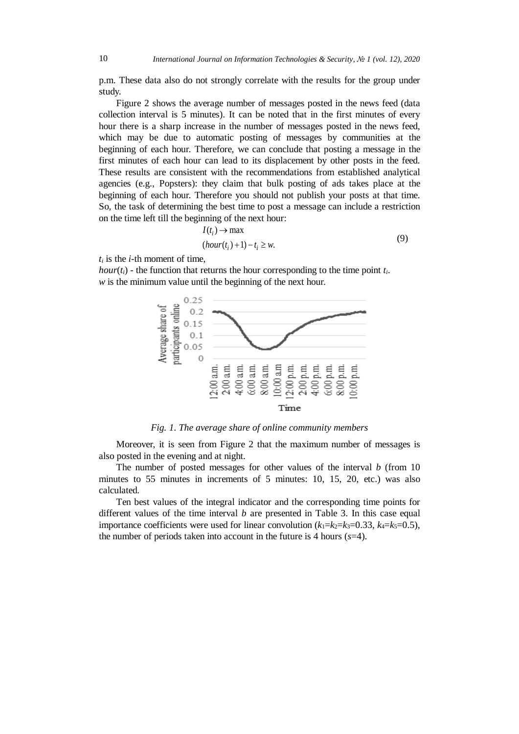p.m. These data also do not strongly correlate with the results for the group under study.

Figure 2 shows the average number of messages posted in the news feed (data collection interval is 5 minutes). It can be noted that in the first minutes of every hour there is a sharp increase in the number of messages posted in the news feed, which may be due to automatic posting of messages by communities at the beginning of each hour. Therefore, we can conclude that posting a message in the first minutes of each hour can lead to its displacement by other posts in the feed. These results are consistent with the recommendations from established analytical agencies (e.g., Popsters): they claim that bulk posting of ads takes place at the beginning of each hour. Therefore you should not publish your posts at that time. So, the task of determining the best time to post a message can include a restriction on the time left till the beginning of the next hour:

$$
I(t_i) \to \max
$$
  
(hour(t<sub>i</sub>) + 1) - t<sub>i</sub> \ge w. (9)

*ti* is the *i*-th moment of time,

*hour*( $t_i$ ) - the function that returns the hour corresponding to the time point  $t_i$ . *w* is the minimum value until the beginning of the next hour.



*Fig. 1. The average share of online community members* 

Moreover, it is seen from Figure 2 that the maximum number of messages is also posted in the evening and at night.

The number of posted messages for other values of the interval *b* (from 10 minutes to 55 minutes in increments of 5 minutes: 10, 15, 20, etc.) was also calculated.

Ten best values of the integral indicator and the corresponding time points for different values of the time interval *b* are presented in Table 3. In this case equal importance coefficients were used for linear convolution  $(k_1=k_2=k_3=0.33, k_4=k_5=0.5)$ , the number of periods taken into account in the future is 4 hours (*s*=4).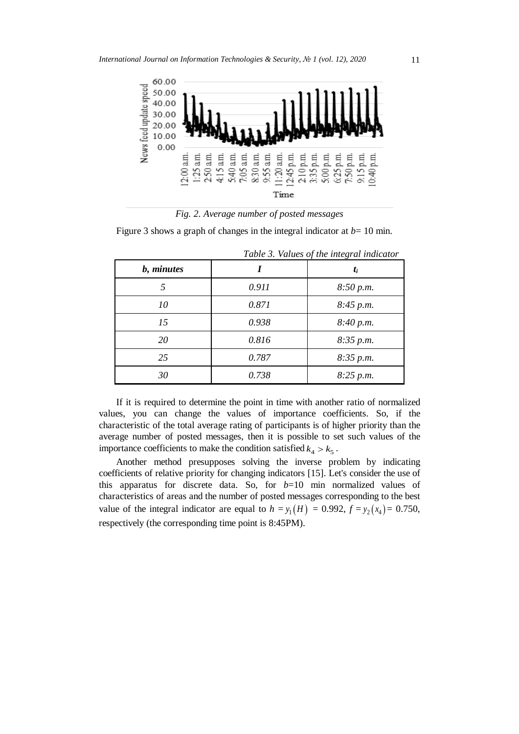

*Fig. 2. Average number of posted messages*

Figure 3 shows a graph of changes in the integral indicator at  $b=10$  min.

|            | Table 5. Values of the integral indicator |           |  |  |
|------------|-------------------------------------------|-----------|--|--|
| b, minutes |                                           | $t_i$     |  |  |
| 5          | 0.911                                     | 8:50 p.m. |  |  |
| 10         | 0.871                                     | 8:45 p.m. |  |  |
| 15         | 0.938                                     | 8:40 p.m. |  |  |
| 20         | 0.816                                     | 8:35 p.m. |  |  |
| 25         | 0.787                                     | 8:35 p.m. |  |  |
| 30         | 0.738                                     | 8:25 p.m. |  |  |

*Table 3. Values of the integral indicator*

If it is required to determine the point in time with another ratio of normalized values, you can change the values of importance coefficients. So, if the characteristic of the total average rating of participants is of higher priority than the average number of posted messages, then it is possible to set such values of the importance coefficients to make the condition satisfied  $k_4 > k_5$ .

Another method presupposes solving the inverse problem by indicating coefficients of relative priority for changing indicators [15]. Let's consider the use of this apparatus for discrete data. So, for *b*=10 min normalized values of characteristics of areas and the number of posted messages corresponding to the best value of the integral indicator are equal to  $h = y_1(H) = 0.992$ ,  $f = y_2(x_4) = 0.750$ , respectively (the corresponding time point is 8:45PM).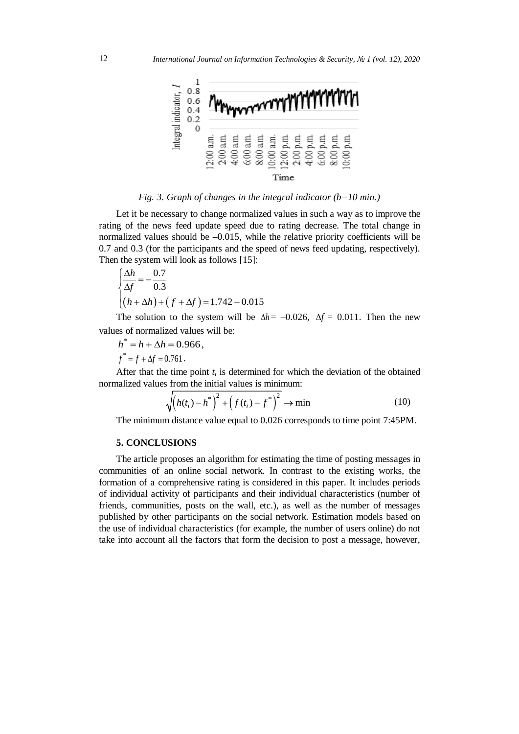

*Fig. 3. Graph of changes in the integral indicator (b=10 min.)*

Let it be necessary to change normalized values in such a way as to improve the rating of the news feed update speed due to rating decrease. The total change in normalized values should be  $-0.015$ , while the relative priority coefficients will be 0.7 and 0.3 (for the participants and the speed of news feed updating, respectively). Then the system will look as follows [15]:

$$
\begin{cases} \frac{\Delta h}{\Delta f} = -\frac{0.7}{0.3} \\ (h + \Delta h) + (f + \Delta f) = 1.742 - 0.015 \end{cases}
$$

The solution to the system will be  $\Delta h = -0.026$ ,  $\Delta f = 0.011$ . Then the new values of normalized values will be:

$$
h^* = h + \Delta h = 0.966,
$$
  

$$
f^* = f + \Delta f = 0.761.
$$

After that the time point  $t_i$  is determined for which the deviation of the obtained normalized values from the initial values is minimum:

$$
\sqrt{(h(t_i) - h^*)^2 + (f(t_i) - f^*)^2} \to \min
$$
 (10)

The minimum distance value equal to 0.026 corresponds to time point 7:45PM.

## **5. CONCLUSIONS**

The article proposes an algorithm for estimating the time of posting messages in communities of an online social network. In contrast to the existing works, the formation of a comprehensive rating is considered in this paper. It includes periods of individual activity of participants and their individual characteristics (number of friends, communities, posts on the wall, etc.), as well as the number of messages published by other participants on the social network. Estimation models based on the use of individual characteristics (for example, the number of users online) do not take into account all the factors that form the decision to post a message, however,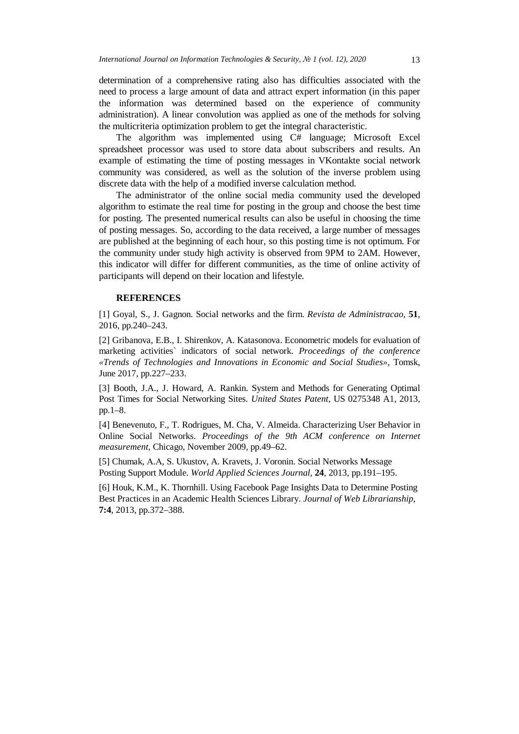determination of a comprehensive rating also has difficulties associated with the need to process a large amount of data and attract expert information (in this paper the information was determined based on the experience of community administration). A linear convolution was applied as one of the methods for solving the multicriteria optimization problem to get the integral characteristic.

The algorithm was implemented using C# language; Microsoft Excel spreadsheet processor was used to store data about subscribers and results. An example of estimating the time of posting messages in VKontakte social network community was considered, as well as the solution of the inverse problem using discrete data with the help of a modified inverse calculation method.

The administrator of the online social media community used the developed algorithm to estimate the real time for posting in the group and choose the best time for posting. The presented numerical results can also be useful in choosing the time of posting messages. So, according to the data received, a large number of messages are published at the beginning of each hour, so this posting time is not optimum. For the community under study high activity is observed from 9PM to 2AM. However, this indicator will differ for different communities, as the time of online activity of participants will depend on their location and lifestyle.

#### **REFERENCES**

[1] Goyal, S., J. Gagnon. Social networks and the firm. *Revista de Administracao*, **51**, 2016, pp.240–243.

[2] Gribanova, E.B., I. Shirenkov, A. Katasonova. Econometric models for evaluation of marketing activities` indicators of social network. *Proceedings of the conference «Trends of Technologies and Innovations in Economic and Social Studies»*, Tomsk, June 2017, pp.227–233.

[3] Booth, J.A., J. Howard, A. Rankin. System and Methods for Generating Optimal Post Times for Social Networking Sites. *United States Patent*, US 0275348 A1, 2013, pp.1–8.

[4] Benevenuto, F., T. Rodrigues, M. Cha, V. Almeida. Characterizing User Behavior in Online Social Networks. *Proceedings of the 9th ACM conference on Internet measurement*, Chicago, November 2009, pp.49–62.

[5] Chumak, А.А, S. Ukustov, A. Kravets, J. Voronin. Social Networks Message Posting Support Module. *World Applied Sciences Journal*, **24**, 2013, pp.191–195.

[6] Houk, K.M., K. Thornhill. Using Facebook Page Insights Data to Determine Posting Best Practices in an Academic Health Sciences Library. *Journal of Web Librarianship*, **7:4**, 2013, pp.372–388.